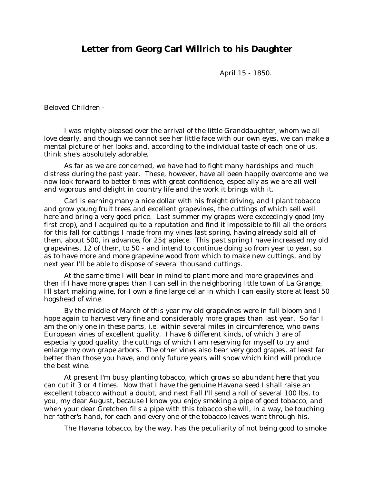## **Letter from Georg Carl Willrich to his Daughter**

April 15 - 1850.

Beloved Children -

I was mighty pleased over the arrival of the little Granddaughter, whom we all love dearly, and though we cannot see her little face with our own eyes, we can make a mental picture of her looks and, according to the individual taste of each one of us, think she's absolutely adorable.

As far as we are concerned, we have had to fight many hardships and much distress during the past year. These, however, have all been happily overcome and we now look forward to better times with great confidence, especially as we are all well and vigorous and delight in country life and the work it brings with it.

Carl is earning many a nice dollar with his freight driving, and I plant tobacco and grow young fruit trees and excellent grapevines, the cuttings of which sell well here and bring a very good price. Last summer my grapes were exceedingly good (my first crop), and I acquired quite a reputation and find it impossible to fill all the orders for this fall for cuttings I made from my vines last spring, having already sold all of them, about 500, in advance, for 25¢ apiece. This past spring I have increased my old grapevines, 12 of them, to 50 - and intend to continue doing so from year to year, so as to have more and more grapevine wood from which to make new cuttings, and by next year I'll be able to dispose of several thousand cuttings.

At the same time I will bear in mind to plant more and more grapevines and then if I have more grapes than I can sell in the neighboring little town of La Grange, I'll start making wine, for I own a fine large cellar in which I can easily store at least 50 hogshead of wine.

By the middle of March of this year my old grapevines were in full bloom and I hope again to harvest very fine and considerably more grapes than last year. So far I am the only one in these parts, i.e. within several miles in circumference, who owns European vines of excellent quality. I have 6 different kinds, of which 3 are of especially good quality, the cuttings of which I am reserving for myself to try and enlarge my own grape arbors. The other vines also bear very good grapes, at least far better than those you have, and only future years will show which kind will produce the best wine.

At present I'm busy planting tobacco, which grows so abundant here that you can cut it 3 or 4 times. Now that I have the genuine Havana seed I shall raise an excellent tobacco without a doubt, and next Fall I'll send a roll of several 100 lbs. to you, my dear August, because I know you enjoy smoking a pipe of good tobacco, and when your dear Gretchen fills a pipe with this tobacco she will, in a way, be touching her father's hand, for each and every one of the tobacco leaves went through his.

The Havana tobacco, by the way, has the peculiarity of not being good to smoke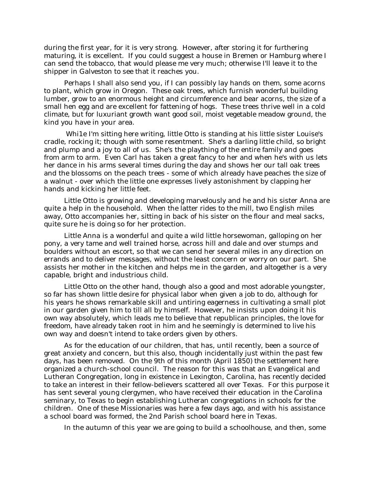during the first year, for it is very strong. However, after storing it for furthering maturing, it is excellent. If you could suggest a house in Bremen or Hamburg where I can send the tobacco, that would please me very much; otherwise I'll leave it to the shipper in Galveston to see that it reaches you.

Perhaps I shall also send you, if I can possibly lay hands on them, some acorns to plant, which grow in Oregon. These oak trees, which furnish wonderful building lumber, grow to an enormous height and circumference and bear acorns, the size of a small hen egg and are excellent for fattening of hogs. These trees thrive well in a cold climate, but for luxuriant growth want good soil, moist vegetable meadow ground, the kind you have in your area.

Whi1e I'm sitting here writing, little Otto is standing at his little sister Louise's cradle, rocking it; though with some resentment. She's a darling little child, so bright and plump and a joy to all of us. She's the plaything of the entire family and goes from arm to arm. Even Carl has taken a great fancy to her and when he's with us lets her dance in his arms several times during the day and shows her our tall oak trees and the blossoms on the peach trees - some of which already have peaches the size of a walnut - over which the little one expresses lively astonishment by clapping her hands and kicking her little feet.

Little Otto is growing and developing marvelously and he and his sister Anna are quite a help in the household. When the latter rides to the mill, two English miles away, Otto accompanies her, sitting in back of his sister on the flour and meal sacks, quite sure he is doing so for her protection.

Little Anna is a wonderful and quite a wild little horsewoman, galloping on her pony, a very tame and well trained horse, across hill and dale and over stumps and boulders without an escort, so that we can send her several miles in any direction on errands and to deliver messages, without the least concern or worry on our part. She assists her mother in the kitchen and helps me in the garden, and altogether is a very capable, bright and industrious child.

Little Otto on the other hand, though also a good and most adorable youngster, so far has shown little desire for physical labor when given a job to do, although for his years he shows remarkable skill and untiring eagerness in cultivating a small plot in our garden given him to till all by himself. However, he insists upon doing it his own way absolutely, which leads me to believe that republican principles, the love for freedom, have already taken root in him and he seemingly is determined to live his own way and doesn't intend to take orders given by others.

As for the education of our children, that has, until recently, been a source of great anxiety and concern, but this also, though incidentally just within the past few days, has been removed. On the 9th of this month (April 1850) the settlement here organized a church-school council. The reason for this was that an Evangelical and Lutheran Congregation, long in existence in Lexington, Carolina, has recently decided to take an interest in their fellow-believers scattered all over Texas. For this purpose it has sent several young clergymen, who have received their education in the Carolina seminary, to Texas to begin establishing Lutheran congregations in schools for the children. One of these Missionaries was here a few days ago, and with his assistance a school board was formed, the 2nd Parish school board here in Texas.

In the autumn of this year we are going to build a schoolhouse, and then, some